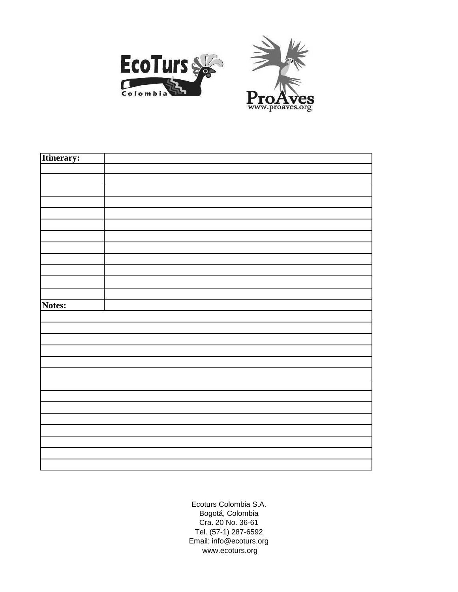



| Itinerary: |  |
|------------|--|
|            |  |
|            |  |
|            |  |
|            |  |
|            |  |
|            |  |
|            |  |
|            |  |
|            |  |
|            |  |
|            |  |
|            |  |
| Notes:     |  |
|            |  |
|            |  |
|            |  |
|            |  |
|            |  |
|            |  |
|            |  |
|            |  |
|            |  |
|            |  |
|            |  |
|            |  |
|            |  |
|            |  |
|            |  |

Ecoturs Colombia S.A. Bogotá, Colombia Cra. 20 No. 36-61 Tel. (57-1) 287-6592 Email: info@ecoturs.org www.ecoturs.org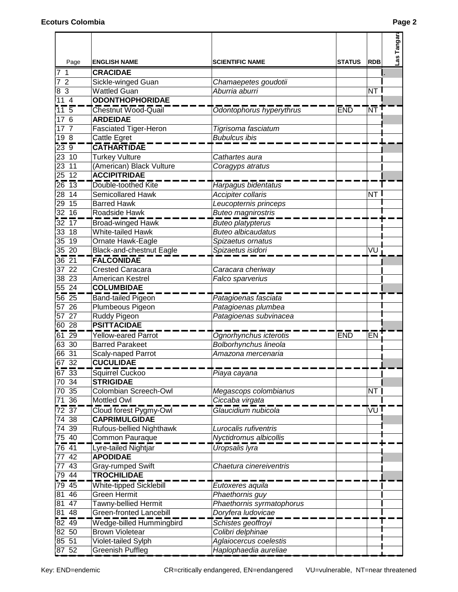|                               |                                                    |                                         |               |            | Las Tangar |
|-------------------------------|----------------------------------------------------|-----------------------------------------|---------------|------------|------------|
| Page                          | <b>ENGLISH NAME</b>                                | <b>SCIENTIFIC NAME</b>                  | <b>STATUS</b> | <b>RDB</b> |            |
| $\overline{1}$<br>7           | <b>CRACIDAE</b>                                    |                                         |               |            |            |
| $\overline{2}$                | Sickle-winged Guan                                 | Chamaepetes goudotii                    |               |            |            |
| $\mathbf{3}$<br>8             | <b>Wattled Guan</b>                                | Aburria aburri                          |               | NT         |            |
| 11<br>$\overline{4}$          | <b>ODONTHOPHORIDAE</b>                             |                                         |               |            |            |
| $11\,5$                       | <b>Chestnut Wood-Quail</b>                         | Odontophorus hyperythrus                | <b>END</b>    | <b>NT</b>  |            |
| 6<br>17                       | <b>ARDEIDAE</b>                                    |                                         |               |            |            |
| 17<br>$\overline{7}$          | <b>Fasciated Tiger-Heron</b>                       | Tigrisoma fasciatum                     |               |            |            |
| 19 8                          | Cattle Egret                                       | <b>Bubulcus ibis</b>                    |               |            |            |
| 239                           | <b>CATHARTIDAE</b>                                 |                                         |               |            |            |
| 23 10                         | <b>Turkey Vulture</b>                              | Cathartes aura                          |               |            |            |
| 23 11                         | (American) Black Vulture                           | Coragyps atratus                        |               |            |            |
| $25 \t12$                     | <b>ACCIPITRIDAE</b>                                |                                         |               |            |            |
| $\sqrt{26}$ 13                | Double-toothed Kite                                | Harpagus bidentatus                     |               |            |            |
| $28 \overline{14}$            | <b>Semicollared Hawk</b>                           | Accipiter collaris                      |               | NT l       |            |
| 29 15                         | <b>Barred Hawk</b>                                 | Leucopternis princeps                   |               |            |            |
| $32 \ 16$                     | Roadside Hawk                                      | <b>Buteo magnirostris</b>               |               |            |            |
| $32 \overline{17}$            | <b>Broad-winged Hawk</b>                           | <b>Buteo</b> platypterus                |               |            |            |
| 33 18                         | White-tailed Hawk                                  | <b>Buteo albicaudatus</b>               |               |            |            |
| 35 19                         | Ornate Hawk-Eagle                                  | Spizaetus ornatus                       |               |            |            |
| 35 20                         | <b>Black-and-chestnut Eagle</b>                    | Spizaetus isidori                       |               | VU         |            |
| $36\overline{21}$             | <b>FALCONIDAE</b>                                  |                                         |               |            |            |
| 37 22                         | <b>Crested Caracara</b>                            | Caracara cheriway                       |               |            |            |
| 38 23                         | American Kestrel                                   | Falco sparverius                        |               |            |            |
| 55 24                         | <b>COLUMBIDAE</b>                                  |                                         |               |            |            |
| $56\,25$                      | <b>Band-tailed Pigeon</b>                          | Patagioenas fasciata                    |               |            |            |
| 26<br>57                      | Plumbeous Pigeon                                   | Patagioenas plumbea                     |               |            |            |
| 27<br>57                      | Ruddy Pigeon                                       | Patagioenas subvinacea                  |               |            |            |
| 60 28                         | <b>PSITTACIDAE</b>                                 |                                         |               |            |            |
| $61\,29$                      | Yellow-eared Parrot                                | Ognorhynchus icterotis                  | <b>END</b>    | EN         |            |
| 63 30                         | <b>Barred Parakeet</b>                             | Bolborhynchus lineola                   |               |            |            |
| 66 31                         | <b>Scaly-naped Parrot</b>                          | Amazona mercenaria                      |               |            |            |
| 67<br>$\frac{32}{ }$          | <b>CUCULIDAE</b>                                   |                                         |               |            |            |
| $\frac{67}{67} \frac{32}{33}$ | Squirrel Cuckoo                                    | Piaya cayana                            |               |            |            |
| 70 34                         | <b>STRIGIDAE</b>                                   |                                         |               |            |            |
| 70 35                         | Colombian Screech-Owl                              | Megascops colombianus                   |               | NT         |            |
| $\overline{71}$ 36            | Mottled Owl                                        | Ciccaba virgata                         |               |            |            |
| $72\overline{37}$             | Cloud forest Pygmy-Owl                             | Glaucidium nubicola                     |               | VU 1       |            |
| 38<br>74                      | <b>CAPRIMULGIDAE</b>                               |                                         |               |            |            |
| 74<br>39                      | Rufous-bellied Nighthawk                           | Lurocalis rufiventris                   |               |            |            |
| 75 40                         | <b>Common Pauraque</b>                             | Nyctidromus albicollis                  |               |            |            |
| $76\overline{41}$             | Lyre-tailed Nightjar                               | Uropsalis lyra                          |               |            |            |
| 42<br>77                      | <b>APODIDAE</b>                                    |                                         |               |            |            |
| 43                            |                                                    |                                         |               |            |            |
| 77<br>$79\sqrt{44}$           | Gray-rumped Swift<br><b>TROCHILIDAE</b>            | Chaetura cinereiventris                 |               |            |            |
| 79 45                         | <b>White-tipped Sicklebill</b>                     |                                         |               |            |            |
| 81 46                         | <b>Green Hermit</b>                                | Eutoxeres aquila<br>Phaethornis guy     |               |            |            |
| 47<br>81                      | Tawny-bellied Hermit                               | Phaethornis syrmatophorus               |               |            |            |
| 81 48                         | Green-fronted Lancebill                            | Doryfera ludovicae                      |               |            |            |
| $82\overline{49}$             |                                                    |                                         |               |            |            |
| 82 50                         | Wedge-billed Hummingbird<br><b>Brown Violetear</b> | Schistes geoffroyi<br>Colibri delphinae |               |            |            |
| 85 51                         | Violet-tailed Sylph                                | Aglaiocercus coelestis                  |               |            |            |
| 87 52                         | <b>Greenish Puffleg</b>                            | Haplophaedia aureliae                   |               |            |            |
|                               |                                                    |                                         |               |            |            |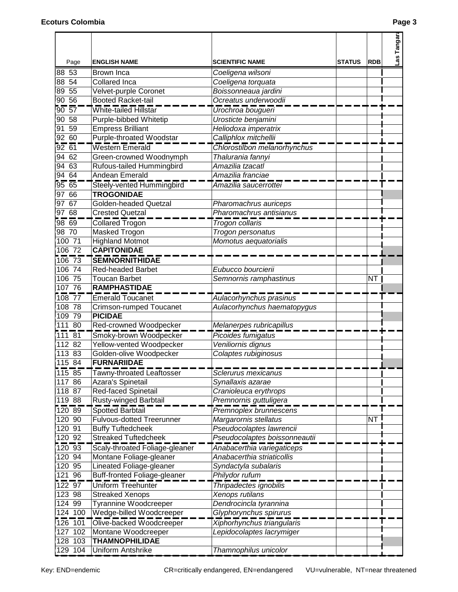| Page                            | <b>ENGLISH NAME</b>                               | <b>SCIENTIFIC NAME</b>                                         | <b>STATUS</b> | <b>RDB</b> | Las Tangar |
|---------------------------------|---------------------------------------------------|----------------------------------------------------------------|---------------|------------|------------|
| 88 53                           | Brown Inca                                        | Coeligena wilsoni                                              |               |            |            |
| 88 54                           | <b>Collared Inca</b>                              | Coeligena torquata                                             |               |            |            |
| 55<br>89                        | Velvet-purple Coronet                             | Boissonneaua jardini                                           |               |            |            |
| 90 56                           | <b>Booted Racket-tail</b>                         | Ocreatus underwoodii                                           |               |            |            |
| $90\,57$                        | White-tailed Hillstar                             | Urochroa bougueri                                              |               |            |            |
| 58<br>90                        | Purple-bibbed Whitetip                            | Urosticte benjamini                                            |               |            |            |
| 59<br>91                        | <b>Empress Brilliant</b>                          | Heliodoxa imperatrix                                           |               |            |            |
| 92 60                           | Purple-throated Woodstar                          | Calliphlox mitchellii                                          |               |            |            |
| $92\overline{61}$               | Western Emerald                                   | Chlorostilbon melanorhynchus                                   |               |            |            |
| 94<br>62                        | Green-crowned Woodnymph                           | Thalurania fannyi                                              |               |            |            |
| 94<br>63                        | Rufous-tailed Hummingbird                         | Amazilia tzacatl                                               |               |            |            |
| 9464                            | Andean Emerald                                    | Amazilia franciae                                              |               |            |            |
| $\overline{95}$ $\overline{65}$ | Steely-vented Hummingbird                         | Amazilia saucerrottei                                          |               |            |            |
| 97 66                           | <b>TROGONIDAE</b>                                 |                                                                |               |            |            |
| $97\overline{67}$               | <b>Golden-headed Quetzal</b>                      | Pharomachrus auriceps                                          |               |            |            |
| 97 68                           | <b>Crested Quetzal</b>                            | Pharomachrus antisianus                                        |               |            |            |
| 9800                            | <b>Collared Trogon</b>                            | Trogon collaris                                                |               |            |            |
| 98 70                           | Masked Trogon                                     | Trogon personatus                                              |               |            |            |
| 100 71                          | <b>Highland Motmot</b>                            | Momotus aequatorialis                                          |               |            |            |
| 106 72                          | <b>CAPITONIDAE</b>                                |                                                                |               |            |            |
| $\frac{1}{106}$ 73              | <b>SEMNORNITHIDAE</b>                             |                                                                |               |            |            |
| 106 74                          | Red-headed Barbet                                 | Eubucco bourcierii                                             |               |            |            |
| 106 75                          | <b>Toucan Barbet</b>                              | Semnornis ramphastinus                                         |               | NT I       |            |
| 10776                           | <b>RAMPHASTIDAE</b>                               |                                                                |               |            |            |
| $108 - 77$                      | <b>Emerald Toucanet</b>                           | Aulacorhynchus prasinus                                        |               |            |            |
| 108 78                          | Crimson-rumped Toucanet                           | Aulacorhynchus haematopygus                                    |               |            |            |
| 109 79                          | <b>PICIDAE</b>                                    |                                                                |               |            |            |
| 111 80                          | Red-crowned Woodpecker                            | Melanerpes rubricapillus                                       |               |            |            |
| $111\overline{81}$              | Smoky-brown Woodpecker                            | Picoides fumigatus                                             |               |            |            |
| 112 82                          | Yellow-vented Woodpecker                          | Veniliornis dignus                                             |               |            |            |
| 113 83                          | Golden-olive Woodpecker                           | Colaptes rubiginosus                                           |               |            |            |
| 115 84                          | <b>FURNARIIDAF</b>                                |                                                                |               |            |            |
| $115 - 85$                      | Tawny-throated Leaftosser                         | Sclerurus mexicanus                                            |               |            |            |
| 117 86                          | Azara's Spinetail                                 | Synallaxis azarae                                              |               |            |            |
| 118 87                          | <b>Red-faced Spinetail</b>                        | Cranioleuca erythrops                                          |               |            |            |
| 119 88                          | Rusty-winged Barbtail                             | Premnornis guttuligera                                         |               |            |            |
| $120 - 89$                      | Spotted Barbtail                                  | Premnoplex brunnescens                                         |               |            |            |
| 120 90                          | <b>Fulvous-dotted Treerunner</b>                  | Margarornis stellatus                                          |               | NT         |            |
| 120 91                          | <b>Buffy Tuftedcheek</b>                          | Pseudocolaptes lawrencii                                       |               |            |            |
| 120 92                          | <b>Streaked Tuftedcheek</b>                       | Pseudocolaptes boissonneautii                                  |               |            |            |
| $\frac{1}{20}$ 93               | Scaly-throated Foliage-gleaner                    | Anabacerthia variegaticeps                                     |               |            |            |
| 120 94                          | Montane Foliage-gleaner                           | Anabacerthia striaticollis                                     |               |            |            |
| 120 95                          | Lineated Foliage-gleaner                          | Syndactyla subalaris                                           |               |            |            |
| 121 96                          | <b>Buff-fronted Foliage-gleaner</b>               | Philydor rufum                                                 |               |            |            |
| $122 - 97$                      | Uniform Treehunter                                | Thripadectes ignobilis                                         |               |            |            |
| 123 98<br>124 99                | <b>Streaked Xenops</b>                            | Xenops rutilans                                                |               |            |            |
| 124 100                         | Tyrannine Woodcreeper<br>Wedge-billed Woodcreeper | Dendrocincla tyrannina                                         |               |            |            |
| $126 - 101$                     | Olive-backed Woodcreeper                          | Glyphorynchus spirurus                                         |               |            |            |
| 127 102                         | Montane Woodcreeper                               | <b>Xiphorhynchus triangularis</b><br>Lepidocolaptes lacrymiger |               |            |            |
| 128 103                         | <b>THAMNOPHILIDAE</b>                             |                                                                |               |            |            |
| 129 104                         | Uniform Antshrike                                 | Thamnophilus unicolor                                          |               |            |            |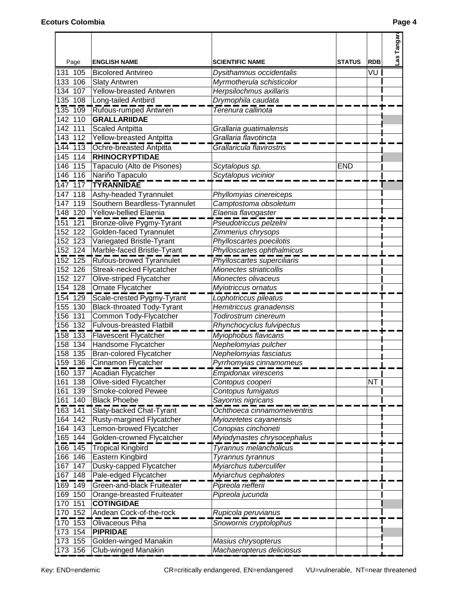| Page                            | <b>ENGLISH NAME</b>                                | <b>SCIENTIFIC NAME</b>                                | <b>STATUS</b> | <b>RDB</b> | Las Tangar |
|---------------------------------|----------------------------------------------------|-------------------------------------------------------|---------------|------------|------------|
| 131 105                         | <b>Bicolored Antvireo</b>                          |                                                       |               | VU         |            |
| 133 106                         | <b>Slaty Antwren</b>                               | Dysithamnus occidentalis<br>Myrmotherula schisticolor |               |            |            |
| 134 107                         | <b>Yellow-breasted Antwren</b>                     | Herpsilochmus axillaris                               |               |            |            |
| 135 108                         | Long-tailed Antbird                                | Drymophila caudata                                    |               |            |            |
|                                 |                                                    |                                                       |               |            |            |
| 135 109<br>142 110              | Rufous-rumped Antwren<br><b>GRALLARIIDAE</b>       | Terenura callinota                                    |               |            |            |
| 142 111                         |                                                    |                                                       |               |            |            |
| 143 112                         | <b>Scaled Antpitta</b><br>Yellow-breasted Antpitta | Grallaria guatimalensis<br>Grallaria flavotincta      |               |            |            |
|                                 |                                                    |                                                       |               |            |            |
|                                 | 144 113 Ochre-breasted Antpitta                    | Grallaricula flavirostris                             |               |            |            |
| 145 114                         | <b>RHINOCRYPTIDAE</b>                              |                                                       |               |            |            |
| 146 115                         | Tapaculo (Alto de Pisones)                         | Scytalopus sp.                                        | <b>END</b>    |            |            |
| 146 116                         | Nariño Tapaculo                                    | Scytalopus vicinior                                   |               |            |            |
| $\frac{1}{147}$ $\frac{1}{17}$  | <b>TYRANNIDAE</b>                                  |                                                       |               |            |            |
| 147<br>118                      | Ashy-headed Tyrannulet                             | Phyllomyias cinereiceps                               |               |            |            |
| 147 119                         | Southern Beardless-Tyrannulet                      | Camptostoma obsoletum                                 |               |            |            |
| 148 120                         | <b>Yellow-bellied Elaenia</b>                      | Elaenia flavogaster                                   |               |            |            |
| $151 - 121$                     | Bronze-olive Pygmy-Tyrant                          | Pseudotriccus pelzelni                                |               |            |            |
| 152 122                         | Golden-faced Tyrannulet                            | Zimmerius chrysops                                    |               |            |            |
| 152 123                         | Variegated Bristle-Tyrant                          | Phylloscartes poecilotis                              |               |            |            |
| 152 124                         | Marble-faced Bristle-Tyrant                        | Phylloscartes ophthalmicus                            |               |            |            |
| $152 - 125$                     | Rufous-browed Tyrannulet                           | Phylloscartes superciliaris                           |               |            |            |
| 152 126                         | Streak-necked Flycatcher                           | Mionectes striaticollis                               |               |            |            |
| 152 127                         | Olive-striped Flycatcher                           | Mionectes olivaceus                                   |               |            |            |
| 154 128                         | Ornate Flycatcher                                  | Myiotriccus ornatus                                   |               |            |            |
| $154 - 129$                     | Scale-crested Pygmy-Tyrant                         | Lophotriccus pileatus                                 |               |            |            |
| 155 130                         | Black-throated Tody-Tyrant                         | Hemitriccus granadensis                               |               |            |            |
| 156<br>131                      | Common Tody-Flycatcher                             | Todirostrum cinereum                                  |               |            |            |
| 156 132                         | <b>Fulvous-breasted Flatbill</b>                   | Rhynchocyclus fulvipectus                             |               |            |            |
| $158 - 133$                     | <b>Flavescent Flycatcher</b>                       | Myiophobus flavicans                                  |               |            |            |
| 158 134                         | Handsome Flycatcher                                | Nephelomyias pulcher                                  |               |            |            |
| 158 135                         | <b>Bran-colored Flycatcher</b>                     | Nephelomyias fasciatus                                |               |            |            |
| 159<br>136                      | Cinnamon Flycatcher                                | <u>Pyrrhomyias cinnamomeus</u>                        |               |            |            |
|                                 | 160 137 Acadian Flycatcher                         | Empidonax virescens                                   |               |            |            |
| 161 138                         | Olive-sided Flycatcher                             | Contopus cooperi                                      |               | NT         |            |
| 161 139                         | Smoke-colored Pewee                                | Contopus fumigatus                                    |               |            |            |
| 161 140                         | <b>Black Phoebe</b>                                | Sayornis nigricans                                    |               |            |            |
| $163 - 141$                     | <b>Slaty-backed Chat-Tyrant</b>                    | Ochthoeca cinnamomeiventris                           |               |            |            |
| 164<br>142                      | Rusty-margined Flycatcher                          | Myiozetetes cayanensis                                |               |            |            |
| 164 143                         | Lemon-browed Flycatcher                            | Conopias cinchoneti                                   |               |            |            |
| 165 144                         | Golden-crowned Flycatcher                          | Myiodynastes chrysocephalus                           |               |            |            |
| 166 145                         | <b>Tropical Kingbird</b>                           | Tyrannus melancholicus                                |               |            |            |
| 166 146                         | Eastern Kingbird                                   | Tyrannus tyrannus                                     |               |            |            |
| 167<br>147                      | Dusky-capped Flycatcher                            | Myiarchus tuberculifer                                |               |            |            |
| 167 148                         | Pale-edged Flycatcher                              | Myiarchus cephalotes                                  |               |            |            |
| $169 - 149$                     | Green-and-black Fruiteater                         | Pipreola riefferii                                    |               |            |            |
| 169 150                         | Orange-breasted Fruiteater                         | Pipreola jucunda                                      |               |            |            |
| $170$ $151$                     | <b>COTINGIDAE</b>                                  |                                                       |               |            |            |
| 170 152                         | Andean Cock-of-the-rock                            | Rupicola peruvianus                                   |               |            |            |
| $\frac{1}{170}$ $\frac{1}{153}$ | Olivaceous Piha                                    | Snowornis cryptolophus                                |               |            |            |
| 154<br>173                      | <b>PIPRIDAE</b>                                    |                                                       |               |            |            |
| 173 155                         | Golden-winged Manakin                              | Masius chrysopterus                                   |               |            |            |
| 173 156                         | Club-winged Manakin                                | Machaeropterus deliciosus                             |               |            |            |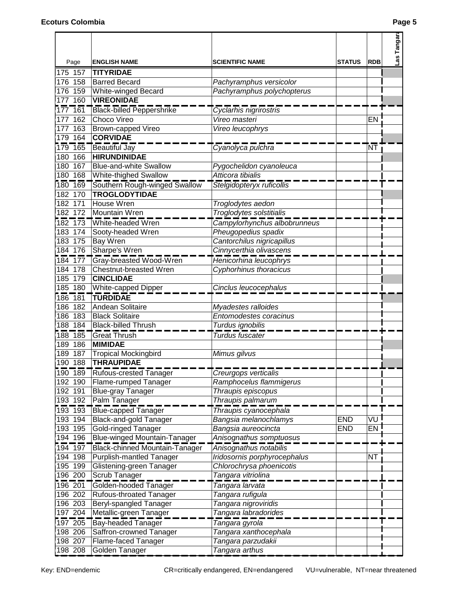|                                   |                                          |                              |               |            | Las Tangar |
|-----------------------------------|------------------------------------------|------------------------------|---------------|------------|------------|
|                                   |                                          |                              |               |            |            |
| Page                              | <b>ENGLISH NAME</b>                      | <b>SCIENTIFIC NAME</b>       | <b>STATUS</b> | <b>RDB</b> |            |
| 175 157                           | <b>TITYRIDAE</b>                         |                              |               |            |            |
| 176 158                           | <b>Barred Becard</b>                     | Pachyramphus versicolor      |               |            |            |
| 176 159                           | White-winged Becard<br><b>VIREONIDAE</b> | Pachyramphus polychopterus   |               |            |            |
| 177 160                           |                                          |                              |               |            |            |
| $177 - 161$                       | <b>Black-billed Peppershrike</b>         | Cyclarhis nigrirostris       |               |            |            |
| 177<br>162                        | Choco Vireo                              | Vireo masteri                |               | EN         |            |
| 177<br>163                        | Brown-capped Vireo                       | Vireo leucophrys             |               |            |            |
| 179 164                           | <b>CORVIDAE</b>                          |                              |               |            |            |
| 179 165                           | Beautiful Jay                            | Cyanolyca pulchra            |               | ÑĪ         |            |
| 166<br>180                        | <b>HIRUNDINIDAE</b>                      |                              |               |            |            |
| 167<br>180                        | <b>Blue-and-white Swallow</b>            | Pygochelidon cyanoleuca      |               |            |            |
| 180 168                           | White-thighed Swallow                    | Atticora tibialis            |               |            |            |
| $180 - 169$                       | Southern Rough-winged Swallow            | Stelgidopteryx ruficollis    |               |            |            |
| 182 170                           | <b>TROGLODYTIDAE</b>                     |                              |               |            |            |
| 182 171                           | House Wren                               | Troglodytes aedon            |               |            |            |
| 182 172                           | <b>Mountain Wren</b>                     | Troglodytes solstitialis     |               |            |            |
| $\frac{1}{182}$ $\frac{1}{173}$   | White-headed Wren                        | Campylorhynchus albobrunneus |               |            |            |
| 183 174                           | Sooty-headed Wren                        | Pheugopedius spadix          |               |            |            |
| 183 175                           | Bay Wren                                 | Cantorchilus nigricapillus   |               |            |            |
| 184 176                           | Sharpe's Wren                            | Cinnycerthia olivascens      |               |            |            |
| $\frac{1}{184}$ $\frac{1}{77}$    | Gray-breasted Wood-Wren                  | Henicorhina leucophrys       |               |            |            |
| 184 178                           | Chestnut-breasted Wren                   | Cyphorhinus thoracicus       |               |            |            |
| 185 179                           | <b>CINCLIDAE</b>                         |                              |               |            |            |
| 185 180                           | White-capped Dipper                      | Cinclus leucocephalus        |               |            |            |
| $186 - 181$                       | <b>TURDIDAE</b>                          |                              |               |            |            |
| 186 182                           | Andean Solitaire                         | Myadestes ralloides          |               |            |            |
| 186 183                           | <b>Black Solitaire</b>                   | Entomodestes coracinus       |               |            |            |
| 188 184                           | <b>Black-billed Thrush</b>               | Turdus ignobilis             |               |            |            |
| $\frac{1}{188}$ 185               | <b>Great Thrush</b>                      | Turdus fuscater              |               |            |            |
| 189 186                           | <b>MIMIDAE</b>                           |                              |               |            |            |
| 189 187                           | <b>Tropical Mockingbird</b>              | Mimus gilvus                 |               |            |            |
| 190 188                           | <b>THRAUPIDAE</b>                        |                              |               |            |            |
| 190 189                           | <b>Rufous-crested Tanager</b>            | Creurgops verticalis         |               |            |            |
| 192 190                           | Flame-rumped Tanager                     | Ramphocelus flammigerus      |               |            |            |
| 192 191                           | <b>Blue-gray Tanager</b>                 | Thraupis episcopus           |               |            |            |
| 193 192                           | Palm Tanager                             | Thraupis palmarum            |               |            |            |
| $\overline{193}$ $\overline{193}$ | <b>Blue-capped Tanager</b>               | Thraupis cyanocephala        |               |            |            |
| 193 194                           | <b>Black-and-gold Tanager</b>            | Bangsia melanochlamys        | <b>END</b>    | VU !       |            |
| 193 195                           | <b>Gold-ringed Tanager</b>               | Bangsia aureocincta          | <b>END</b>    | EN         |            |
| 194 196                           | <b>Blue-winged Mountain-Tanager</b>      | Anisognathus somptuosus      |               |            |            |
| $194 - 197$                       | Black-chinned Mountain-Tanager           | Anisognathus notabilis       |               |            |            |
| 194 198                           | <b>Purplish-mantled Tanager</b>          | Iridosornis porphyrocephalus |               | <b>NT</b>  |            |
| 195 199                           | Glistening-green Tanager                 | Chlorochrysa phoenicotis     |               |            |            |
| 196 200                           | Scrub Tanager                            | Tangara vitriolina           |               |            |            |
| $196 - 201$                       | Golden-hooded Tanager                    | Tangara larvata              |               |            |            |
| 196 202                           | Rufous-throated Tanager                  | Tangara rufigula             |               |            |            |
| 196 203                           | Beryl-spangled Tanager                   | Tangara nigroviridis         |               |            |            |
| 197 204                           | Metallic-green Tanager                   | Tangara labradorides         |               |            |            |
| $197 - 205$                       | <b>Bay-headed Tanager</b>                | Tangara gyrola               |               |            |            |
| 198 206                           | Saffron-crowned Tanager                  | Tangara xanthocephala        |               |            |            |
| 198 207                           | Flame-faced Tanager                      | Tangara parzudakii           |               |            |            |
| 198 208                           | Golden Tanager                           | Tangara arthus               |               |            |            |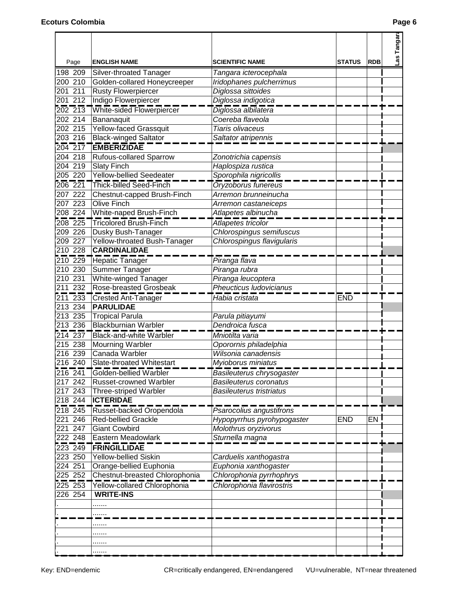|                     |                                                           |                                                    |               |            | Las Tangar |
|---------------------|-----------------------------------------------------------|----------------------------------------------------|---------------|------------|------------|
| Page                | <b>ENGLISH NAME</b>                                       | <b>SCIENTIFIC NAME</b>                             | <b>STATUS</b> | <b>RDB</b> |            |
| 198 209             | Silver-throated Tanager                                   | Tangara icterocephala                              |               |            |            |
| 200 210             | Golden-collared Honeycreeper                              | Iridophanes pulcherrimus                           |               |            |            |
| 201 211             | <b>Rusty Flowerpiercer</b>                                | Diglossa sittoides                                 |               |            |            |
| 201 212             | Indigo Flowerpiercer                                      | Diglossa indigotica                                |               |            |            |
| 202 213             | White-sided Flowerpiercer                                 | Diglossa albilatera                                |               |            |            |
| 202 214             | Bananaquit                                                | Coereba flaveola                                   |               |            |            |
| 202 215             | Yellow-faced Grassquit                                    | Tiaris olivaceus                                   |               |            |            |
| 203 216             | <b>Black-winged Saltator</b>                              | Saltator atripennis                                |               |            |            |
| $204 - 217$         | <b>EMBERIZIDAE</b>                                        |                                                    |               |            |            |
| 204 218             | Rufous-collared Sparrow                                   | Zonotrichia capensis                               |               |            |            |
| 204 219             | <b>Slaty Finch</b>                                        | Haplospiza rustica                                 |               |            |            |
| 205 220             | <b>Yellow-bellied Seedeater</b>                           | Sporophila nigricollis                             |               |            |            |
| $206 - 221$         | Thick-billed Seed-Finch                                   | Oryzoborus funereus                                |               |            |            |
| 207 222             | Chestnut-capped Brush-Finch                               | Arremon brunneinucha                               |               |            |            |
| 207 223             | Olive Finch                                               | Arremon castaneiceps                               |               |            |            |
| 208 224             | White-naped Brush-Finch                                   | Atlapetes albinucha                                |               |            |            |
| $208 - 225$         | <b>Tricolored Brush-Finch</b>                             | Atlapetes tricolor                                 |               |            |            |
| 209 226             | Dusky Bush-Tanager                                        | Chlorospingus semifuscus                           |               |            |            |
| 209 227             | Yellow-throated Bush-Tanager                              | Chlorospingus flavigularis                         |               |            |            |
| 210 228             | <b>CARDINALIDAE</b>                                       |                                                    |               |            |            |
| $210$ 229           | Hepatic Tanager                                           | Piranga flava                                      |               |            |            |
| 210 230             | Summer Tanager                                            | Piranga rubra                                      |               |            |            |
| 210 231             | White-winged Tanager                                      | Piranga leucoptera                                 |               |            |            |
| 211 232             | Rose-breasted Grosbeak                                    | Pheucticus Iudovicianus                            |               |            |            |
| $211$ $233$         | <b>Crested Ant-Tanager</b>                                | Habia cristata                                     | <b>END</b>    |            |            |
| 213 234             | <b>PARULIDAE</b>                                          |                                                    |               |            |            |
| 213 235             | <b>Tropical Parula</b>                                    | Parula pitiayumi                                   |               |            |            |
| 213 236             | <b>Blackburnian Warbler</b>                               | Dendroica fusca                                    |               |            |            |
| $214$ 237           | <b>Black-and-white Warbler</b>                            | Mniotilta varia                                    |               |            |            |
| 215 238             | <b>Mourning Warbler</b>                                   | Oporornis philadelphia                             |               |            |            |
| 216 239             | Canada Warbler                                            | Wilsonia canadensis                                |               |            |            |
| 216 240             | Slate-throated Whitestart                                 | Myioborus miniatus                                 |               |            |            |
|                     | 216 241 Golden-bellied Warbler                            | Basileuterus chrysogaster                          |               |            |            |
| 217 242             | <b>Russet-crowned Warbler</b>                             | <b>Basileuterus coronatus</b>                      |               |            |            |
| 217 243             | <b>Three-striped Warbler</b>                              | <b>Basileuterus tristriatus</b>                    |               |            |            |
| $218$ 244           | <b>ICTERIDAE</b>                                          |                                                    |               |            |            |
| $218$ 245           |                                                           |                                                    |               |            |            |
| 221 246             | Russet-backed Oropendola<br><b>Red-bellied Grackle</b>    | Psarocolius angustifrons                           | <b>END</b>    | EN I       |            |
| 221 247             | <b>Giant Cowbird</b>                                      | Hypopyrrhus pyrohypogaster<br>Molothrus oryzivorus |               |            |            |
| 222 248             | Eastern Meadowlark                                        | Sturnella magna                                    |               |            |            |
| $223\overline{249}$ | <b>FRINGILLIDAE</b>                                       |                                                    |               |            |            |
|                     |                                                           |                                                    |               |            |            |
| 223 250<br>224 251  | <b>Yellow-bellied Siskin</b>                              | Carduelis xanthogastra                             |               |            |            |
| $225\overline{252}$ | Orange-bellied Euphonia<br>Chestnut-breasted Chlorophonia | Euphonia xanthogaster<br>Chlorophonia pyrrhophrys  |               |            |            |
|                     | 225 253 Yellow-collared Chlorophonia                      |                                                    |               |            |            |
| 226 254             | <b>WRITE-INS</b>                                          | Chlorophonia flavirostris                          |               |            |            |
|                     |                                                           |                                                    |               |            |            |
|                     | .                                                         |                                                    |               |            |            |
|                     | .                                                         |                                                    |               |            |            |
|                     |                                                           |                                                    |               |            |            |
|                     |                                                           |                                                    |               |            |            |
|                     |                                                           |                                                    |               |            |            |
|                     | .                                                         |                                                    |               |            |            |